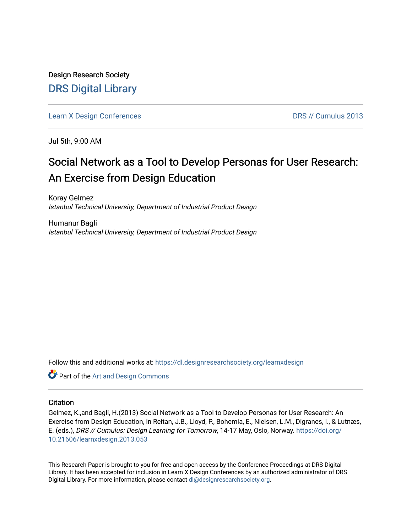Design Research Society [DRS Digital Library](https://dl.designresearchsociety.org/)

[Learn X Design Conferences](https://dl.designresearchsociety.org/learnxdesign) **DRS // Cumulus 2013** 

Jul 5th, 9:00 AM

# Social Network as a Tool to Develop Personas for User Research: An Exercise from Design Education

Koray Gelmez Istanbul Technical University, Department of Industrial Product Design

Humanur Bagli Istanbul Technical University, Department of Industrial Product Design

Follow this and additional works at: [https://dl.designresearchsociety.org/learnxdesign](https://dl.designresearchsociety.org/learnxdesign?utm_source=dl.designresearchsociety.org%2Flearnxdesign%2Flearnxdesign2013%2Fresearchpapers%2F53&utm_medium=PDF&utm_campaign=PDFCoverPages)

Part of the [Art and Design Commons](http://network.bepress.com/hgg/discipline/1049?utm_source=dl.designresearchsociety.org%2Flearnxdesign%2Flearnxdesign2013%2Fresearchpapers%2F53&utm_medium=PDF&utm_campaign=PDFCoverPages)

# **Citation**

Gelmez, K.,and Bagli, H.(2013) Social Network as a Tool to Develop Personas for User Research: An Exercise from Design Education, in Reitan, J.B., Lloyd, P., Bohemia, E., Nielsen, L.M., Digranes, I., & Lutnæs, E. (eds.), DRS // Cumulus: Design Learning for Tomorrow, 14-17 May, Oslo, Norway. [https://doi.org/](https://doi.org/10.21606/learnxdesign.2013.053) [10.21606/learnxdesign.2013.053](https://doi.org/10.21606/learnxdesign.2013.053)

This Research Paper is brought to you for free and open access by the Conference Proceedings at DRS Digital Library. It has been accepted for inclusion in Learn X Design Conferences by an authorized administrator of DRS Digital Library. For more information, please contact [dl@designresearchsociety.org](mailto:dl@designresearchsociety.org).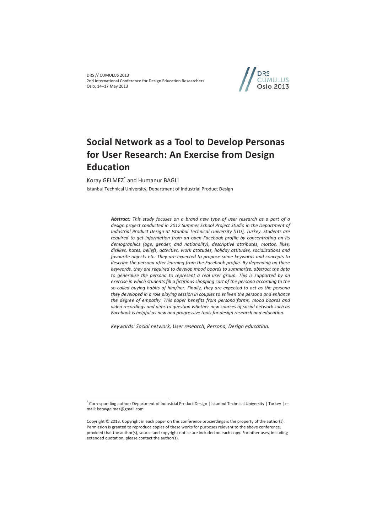DRS // CUMULUS 2013 2nd International Conference for Design Education Researchers Oslo, 14–17 May 2013



# **Social Network as a Tool to Develop Personas for User Research: An Exercise from Design Education**

Koray GELMEZ<sup>\*</sup> and Humanur BAGLI

 $\overline{a}$ 

Istanbul Technical University, Department of Industrial Product Design

*Abstract: This study focuses on a brand new type of user research as a part of a design project conducted in 2012 Summer School Project Studio in the Department of Industrial Product Design at Istanbul Technical University (ITU), Turkey. Students are required to get information from an open Facebook profile by concentrating on its demographics (age, gender, and nationality), descriptive attributes, mottos, likes, dislikes, hates, beliefs, activities, work attitudes, holiday attitudes, socializations and favourite objects etc. They are expected to propose some keywords and concepts to describe the persona after learning from the Facebook profile. By depending on these keywords, they are required to develop mood boards to summarize, abstract the data*  to generalize the persona to represent a real user group. This is supported by an *exercise in which students fill a fictitious shopping cart of the persona according to the so-called buying habits of him/her. Finally, they are expected to act as the persona they developed in a role playing session in couples to enliven the persona and enhance the degree of empathy. This paper benefits from persona forms, mood boards and video recordings and aims to question whether new sources of social network such as Facebook is helpful as new and progressive tools for design research and education.* 

*Keywords: Social network, User research, Persona, Design education.* 

<sup>\*</sup> Corresponding author: Department of Industrial Product Design | Istanbul Technical University | Turkey | email: koraygelmez@gmail.com

Copyright © 2013. Copyright in each paper on this conference proceedings is the property of the author(s). Permission is granted to reproduce copies of these works for purposes relevant to the above conference, provided that the author(s), source and copyright notice are included on each copy. For other uses, including extended quotation, please contact the author(s).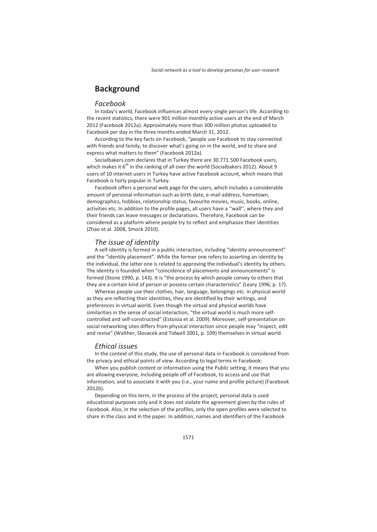# **Background**

### *Facebook*

In today's world, Facebook influences almost every single person's life. According to the recent statistics, there were 901 million monthly active users at the end of March 2012 (Facebook 2012a). Approximately more than 300 million photos uploaded to Facebook per day in the three months ended March 31, 2012.

According to the key facts on Facebook, "people use Facebook to stay connected with friends and family, to discover what's going on in the world, and to share and express what matters to them" (Facebook 2012a).

Socialbakers.com declares that in Turkey there are 30.771.500 Facebook users, which makes it  $6<sup>th</sup>$  in the ranking of all over the world (Socialbakers 2012). About 9 users of 10 internet users in Turkey have active Facebook account, which means that Facebook is fairly popular in Turkey.

Facebook offers a personal web page for the users, which includes a considerable amount of personal information such as birth date, e-mail address, hometown, demographics, hobbies, relationship status, favourite movies, music, books, online, activities etc. In addition to the profile pages, all users have a ''wall'', where they and their friends can leave messages or declarations. Therefore, Facebook can be considered as a platform where people try to reflect and emphasize their identities (Zhao et al. 2008, Smock 2010).

# *The issue of identity*

A self-identity is formed in a public interaction, including "identity announcement" and the "identity placement". While the former one refers to asserting an identity by the individual, the latter one is related to approving the individual's identity by others. The identity is founded when "coincidence of placements and announcements" is formed (Stone 1990, p. 143). It is "the process by which people convey to others that they are a certain kind of person or possess certain characteristics" (Leary 1996, p. 17).

Whereas people use their clothes, hair, language, belongings etc. in physical world as they are reflecting their identities, they are identified by their writings, and preferences in virtual world. Even though the virtual and physical worlds have similarities in the sense of social interaction, "the virtual world is much more selfcontrolled and self-constructed" (Estoisia et al. 2009). Moreover, self-presentation on social networking sites differs from physical interaction since people may "inspect, edit and revise" (Walther, Slovacek and Tidwell 2001, p. 109) themselves in virtual world.

## *Ethical issues*

In the context of this study, the use of personal data in Facebook is considered from the privacy and ethical points of view. According to legal terms in Facebook:

When you publish content or information using the Public setting, it means that you are allowing everyone, including people off of Facebook, to access and use that information, and to associate it with you (i.e., your name and profile picture) (Facebook 2012b).

Depending on this term, in the process of the project, personal data is used educational purposes only and it does not violate the agreement given by the rules of Facebook. Also, in the selection of the profiles, only the open profiles were selected to share in the class and in the paper. In addition, names and identifiers of the Facebook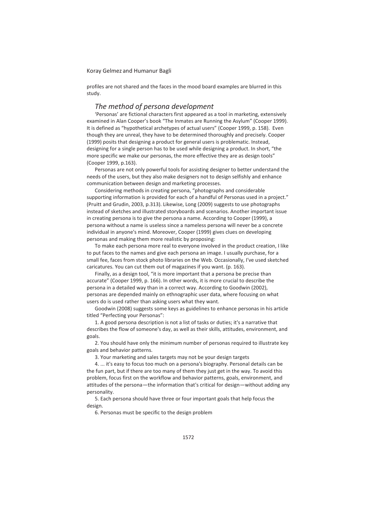profiles are not shared and the faces in the mood board examples are blurred in this study.

## *The method of persona development*

'Personas' are fictional characters first appeared as a tool in marketing, extensively examined in Alan Cooper's book "The Inmates are Running the Asylum" (Cooper 1999). It is defined as "hypothetical archetypes of actual users" (Cooper 1999, p. 158). Even though they are unreal, they have to be determined thoroughly and precisely. Cooper (1999) posits that designing a product for general users is problematic. Instead, designing for a single person has to be used while designing a product. In short, "the more specific we make our personas, the more effective they are as design tools" (Cooper 1999, p.163).

Personas are not only powerful tools for assisting designer to better understand the needs of the users, but they also make designers not to design selfishly and enhance communication between design and marketing processes.

Considering methods in creating persona, "photographs and considerable supporting information is provided for each of a handful of Personas used in a project." (Pruitt and Grudin, 2003, p.313). Likewise, Long (2009) suggests to use photographs instead of sketches and illustrated storyboards and scenarios. Another important issue in creating persona is to give the persona a name. According to Cooper (1999), a persona without a name is useless since a nameless persona will never be a concrete individual in anyone's mind. Moreover, Cooper (1999) gives clues on developing personas and making them more realistic by proposing:

To make each persona more real to everyone involved in the product creation, I like to put faces to the names and give each persona an image. I usually purchase, for a small fee, faces from stock photo libraries on the Web. Occasionally, I've used sketched caricatures. You can cut them out of magazines if you want. (p. 163).

Finally, as a design tool, "it is more important that a persona be precise than accurate" (Cooper 1999, p. 166). In other words, it is more crucial to describe the persona in a detailed way than in a correct way. According to Goodwin (2002), personas are depended mainly on ethnographic user data, where focusing on what users do is used rather than asking users what they want.

Goodwin (2008) suggests some keys as guidelines to enhance personas in his article titled "Perfecting your Personas":

1. A good persona description is not a list of tasks or duties; it's a narrative that describes the flow of someone's day, as well as their skills, attitudes, environment, and goals.

2. You should have only the minimum number of personas required to illustrate key goals and behavior patterns.

3. Your marketing and sales targets may not be your design targets

4. ... it's easy to focus too much on a persona's biography. Personal details can be the fun part, but if there are too many of them they just get in the way. To avoid this problem, focus first on the workflow and behavior patterns, goals, environment, and attitudes of the persona—the information that's critical for design—without adding any personality.

5. Each persona should have three or four important goals that help focus the design.

6. Personas must be specific to the design problem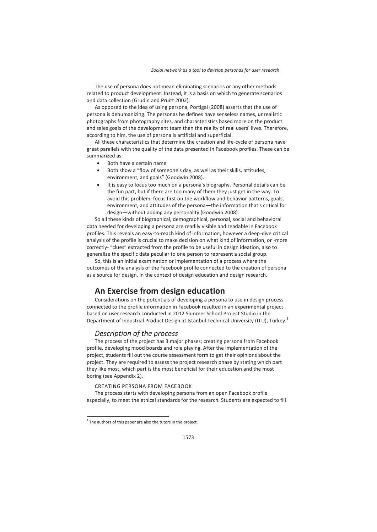The use of persona does not mean eliminating scenarios or any other methods related to product development. Instead, it is a basis on which to generate scenarios and data collection (Grudin and Pruitt 2002).

As opposed to the idea of using persona, Portigal (2008) asserts that the use of persona is dehumanizing. The personas he defines have senseless names, unrealistic photographs from photography sites, and characteristics based more on the product and sales goals of the development team than the reality of real users' lives. Therefore, according to him, the use of persona is artificial and superficial.

All these characteristics that determine the creation and life-cycle of persona have great parallels with the quality of the data presented in Facebook profiles. These can be summarized as:

- Both have a certain name
- Both show a "flow of someone's day, as well as their skills, attitudes, environment, and goals" (Goodwin 2008).
- It is easy to focus too much on a persona's biography. Personal details can be the fun part, but if there are too many of them they just get in the way. To avoid this problem, focus first on the workflow and behavior patterns, goals, environment, and attitudes of the persona—the information that's critical for design—without adding any personality (Goodwin 2008).

So all these kinds of biographical, demographical, personal, social and behavioral data needed for developing a persona are readily visible and readable in Facebook profiles. This reveals an easy-to-reach kind of information; however a deep-dive critical analysis of the profile is crucial to make decision on what kind of information, or -more correctly- "clues" extracted from the profile to be useful in design ideation, also to generalize the specific data peculiar to one person to represent a social group.

So, this is an initial examination or implementation of a process where the outcomes of the analysis of the Facebook profile connected to the creation of persona as a source for design, in the context of design education and design research.

# **An Exercise from design education**

Considerations on the potentials of developing a persona to use in design process connected to the profile information in Facebook resulted in an experimental project based on user research conducted in 2012 Summer School Project Studio in the Department of Industrial Product Design at Istanbul Technical University (ITU), Turkey.<sup>1</sup>

# *Description of the process*

The process of the project has 3 major phases; creating persona from Facebook profile, developing mood boards and role playing. After the implementation of the project, students fill out the course assessment form to get their opinions about the project. They are required to assess the project research phase by stating which part they like most, which part is the most beneficial for their education and the most boring (see Appendix 2).

#### CREATING PERSONA FROM FACEBOOK

The process starts with developing persona from an open Facebook profile especially, to meet the ethical standards for the research. Students are expected to fill

 $\overline{a}$ 

 $1$  The authors of this paper are also the tutors in the project.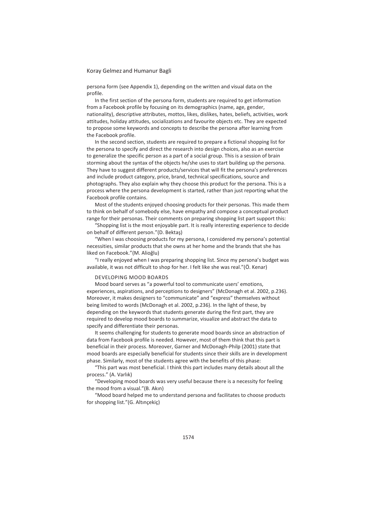persona form (see Appendix 1), depending on the written and visual data on the profile.

In the first section of the persona form, students are required to get information from a Facebook profile by focusing on its demographics (name, age, gender, nationality), descriptive attributes, mottos, likes, dislikes, hates, beliefs, activities, work attitudes, holiday attitudes, socializations and favourite objects etc. They are expected to propose some keywords and concepts to describe the persona after learning from the Facebook profile.

In the second section, students are required to prepare a fictional shopping list for the persona to specify and direct the research into design choices, also as an exercise to generalize the specific person as a part of a social group. This is a session of brain storming about the syntax of the objects he/she uses to start building up the persona. They have to suggest different products/services that will fit the persona's preferences and include product category, price, brand, technical specifications, source and photographs. They also explain why they choose this product for the persona. This is a process where the persona development is started, rather than just reporting what the Facebook profile contains.

Most of the students enjoyed choosing products for their personas. This made them to think on behalf of somebody else, have empathy and compose a conceptual product range for their personas. Their comments on preparing shopping list part support this:

"Shopping list is the most enjoyable part. It is really interesting experience to decide on behalf of different person."(D. Bektaş)

"When I was choosing products for my persona, I considered my persona's potential necessities, similar products that she owns at her home and the brands that she has liked on Facebook."(M. Alioğlu)

"I really enjoyed when I was preparing shopping list. Since my persona's budget was available, it was not difficult to shop for her. I felt like she was real."(Ö. Kenar)

#### DEVELOPING MOOD BOARDS

Mood board serves as "a powerful tool to communicate users' emotions, experiences, aspirations, and perceptions to designers" (McDonagh et al. 2002, p.236). Moreover, it makes designers to "communicate" and "express" themselves without being limited to words (McDonagh et al. 2002, p.236). In the light of these, by depending on the keywords that students generate during the first part, they are required to develop mood boards to summarize, visualize and abstract the data to specify and differentiate their personas.

It seems challenging for students to generate mood boards since an abstraction of data from Facebook profile is needed. However, most of them think that this part is beneficial in their process. Moreover, Garner and McDonagh-Philp (2001) state that mood boards are especially beneficial for students since their skills are in development phase. Similarly, most of the students agree with the benefits of this phase:

"This part was most beneficial. I think this part includes many details about all the process." (A. Varlık)

"Developing mood boards was very useful because there is a necessity for feeling the mood from a visual."(B. Akın)

"Mood board helped me to understand persona and facilitates to choose products for shopping list."(G. Altınçekiç)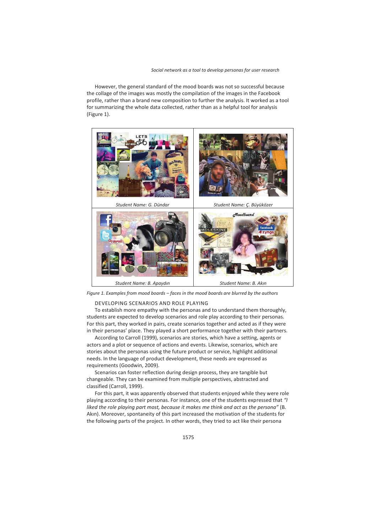#### *Social network as a tool to develop personas for user research*

However, the general standard of the mood boards was not so successful because the collage of the images was mostly the compilation of the images in the Facebook profile, rather than a brand new composition to further the analysis. It worked as a tool for summarizing the whole data collected, rather than as a helpful tool for analysis (Figure 1).



*Figure 1. Examples from mood boards – faces in the mood boards are blurred by the authors* 

#### DEVELOPING SCENARIOS AND ROLE PLAYING

To establish more empathy with the personas and to understand them thoroughly, students are expected to develop scenarios and role play according to their personas. For this part, they worked in pairs, create scenarios together and acted as if they were in their personas' place. They played a short performance together with their partners.

According to Carroll (1999), scenarios are stories, which have a setting, agents or actors and a plot or sequence of actions and events. Likewise, scenarios, which are stories about the personas using the future product or service, highlight additional needs. In the language of product development, these needs are expressed as requirements (Goodwin, 2009).

Scenarios can foster reflection during design process, they are tangible but changeable. They can be examined from multiple perspectives, abstracted and classified (Carroll, 1999).

For this part, it was apparently observed that students enjoyed while they were role playing according to their personas. For instance, one of the students expressed that *"I liked the role playing part most, because it makes me think and act as the persona"* (B. Akın). Moreover, spontaneity of this part increased the motivation of the students for the following parts of the project. In other words, they tried to act like their persona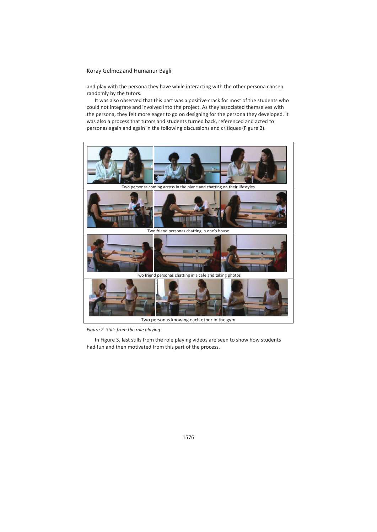and play with the persona they have while interacting with the other persona chosen randomly by the tutors.

It was also observed that this part was a positive crack for most of the students who could not integrate and involved into the project. As they associated themselves with the persona, they felt more eager to go on designing for the persona they developed. It was also a process that tutors and students turned back, referenced and acted to personas again and again in the following discussions and critiques (Figure 2).



*Figure 2. Stills from the role playing* 

In Figure 3, last stills from the role playing videos are seen to show how students had fun and then motivated from this part of the process.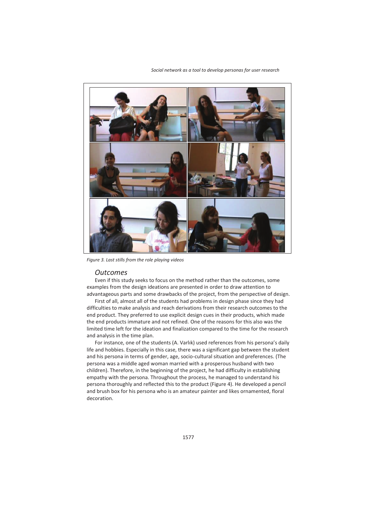



*Figure 3. Last stills from the role playing videos* 

# *Outcomes*

Even if this study seeks to focus on the method rather than the outcomes, some examples from the design ideations are presented in order to draw attention to advantageous parts and some drawbacks of the project, from the perspective of design.

First of all, almost all of the students had problems in design phase since they had difficulties to make analysis and reach derivations from their research outcomes to the end product. They preferred to use explicit design cues in their products, which made the end products immature and not refined. One of the reasons for this also was the limited time left for the ideation and finalization compared to the time for the research and analysis in the time plan.

For instance, one of the students (A. Varlık) used references from his persona's daily life and hobbies. Especially in this case, there was a significant gap between the student and his persona in terms of gender, age, socio-cultural situation and preferences. (The persona was a middle aged woman married with a prosperous husband with two children). Therefore, in the beginning of the project, he had difficulty in establishing empathy with the persona. Throughout the process, he managed to understand his persona thoroughly and reflected this to the product (Figure 4). He developed a pencil and brush box for his persona who is an amateur painter and likes ornamented, floral decoration.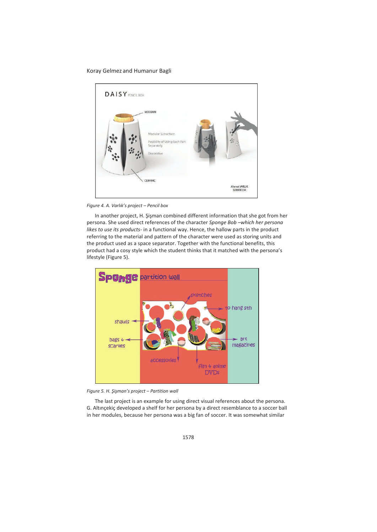

*Figure 4. A. Varlık's project – Pencil box* 

In another project, H. Şişman combined different information that she got from her persona. She used direct references of the character *Sponge Bob –which her persona likes to use its products-* in a functional way. Hence, the hallow parts in the product referring to the material and pattern of the character were used as storing units and the product used as a space separator. Together with the functional benefits, this product had a cosy style which the student thinks that it matched with the persona's lifestyle (Figure 5).



*Figure 5. H. Şişman's project – Partition wall* 

The last project is an example for using direct visual references about the persona. G. Altınçekiç developed a shelf for her persona by a direct resemblance to a soccer ball in her modules, because her persona was a big fan of soccer. It was somewhat similar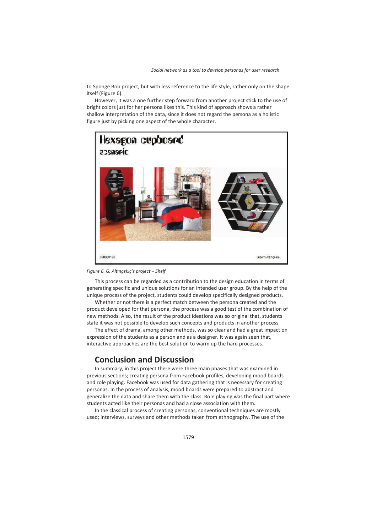to Sponge Bob project, but with less reference to the life style, rather only on the shape itself (Figure 6).

However, it was a one further step forward from another project stick to the use of bright colors just for her persona likes this. This kind of approach shows a rather shallow interpretation of the data, since it does not regard the persona as a holistic figure just by picking one aspect of the whole character.





This process can be regarded as a contribution to the design education in terms of generating specific and unique solutions for an intended user group. By the help of the unique process of the project, students could develop specifically designed products.

Whether or not there is a perfect match between the persona created and the product developed for that persona, the process was a good test of the combination of new methods. Also, the result of the product ideations was so original that, students state it was not possible to develop such concepts and products in another process.

The effect of drama, among other methods, was so clear and had a great impact on expression of the students as a person and as a designer. It was again seen that, interactive approaches are the best solution to warm up the hard processes.

# **Conclusion and Discussion**

In summary, in this project there were three main phases that was examined in previous sections; creating persona from Facebook profiles, developing mood boards and role playing. Facebook was used for data gathering that is necessary for creating personas. In the process of analysis, mood boards were prepared to abstract and generalize the data and share them with the class. Role playing was the final part where students acted like their personas and had a close association with them.

In the classical process of creating personas, conventional techniques are mostly used; interviews, surveys and other methods taken from ethnography. The use of the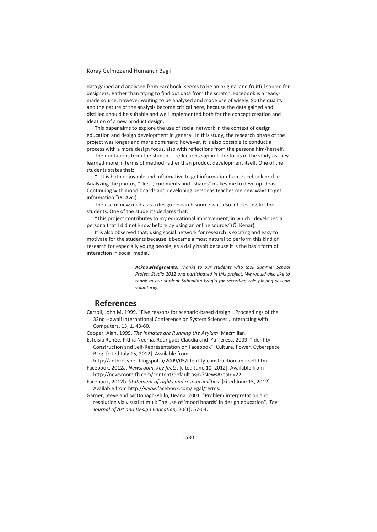data gained and analysed from Facebook, seems to be an original and fruitful source for designers. Rather than trying to find out data from the scratch, Facebook is a readymade source, however waiting to be analysed and made use of wisely. So the quality and the nature of the analysis become critical here, because the data gained and distilled should be suitable and well implemented both for the concept creation and ideation of a new product design.

This paper aims to explore the use of social network in the context of design education and design development in general. In this study, the research phase of the project was longer and more dominant; however, it is also possible to conduct a process with a more design focus, also with reflections from the persona him/herself.

The quotations from the students' reflections support the focus of the study as they learned more in terms of method rather than product development itself. One of the students states that:

"…It is both enjoyable and informative to get information from Facebook profile. Analyzing the photos, "likes", comments and "shares" makes me to develop ideas. Continuing with mood boards and developing personas teaches me new ways to get information."(Y. Avcı)

The use of new media as a design research source was also interesting for the students. One of the students declares that:

"This project contributes to my educational improvement, in which I developed a persona that I did not know before by using an online source."(Ö. Kenar)

It is also observed that, using social network for research is exciting and easy to motivate for the students because it became almost natural to perform this kind of research for especially young people, as a daily habit because it is the basic form of interaction in social media.

> *Acknowledgements: Thanks to our students who took Summer School Project Studio 2012 and participated in this project. We would also like to thank to our student Suhendan Eroglu for recording role playing session voluntarily.*

# **References**

Carroll, John M. 1999. "Five reasons for scenario-based design". Proceedings of the 32nd Hawaii International Conference on System Sciences . Interacting with Computers, 13, 1, 43-60.

Cooper, Alan. 1999. *The Inmates are Running the Asylum*. Macmillan.

Estoisia Renée, Pithia Neema, Rodriguez Claudia and Yu Teresa. 2009. "Identity Construction and Self-Representation on Facebook". Culture, Power, Cyberspace Blog. [cited July 15, 2012]. Available from

http://anthrocyber.blogspot.fi/2009/05/identity-construction-and-self.html Facebook, 2012a. *Newsroom, key facts*. [cited June 10, 2012]. Available from

- http://newsroom.fb.com/content/default.aspx?NewsAreaId=22
- Facebook, 2012b. *Statement of rights and responsibilities*. [cited June 15, 2012]. Available from http://www.facebook.com/legal/terms.
- Garner, Steve and McDonagh-Philp, Deana. 2001. "Problem interpretation and resolution via visual stimuli: The use of 'mood boards' in design education". *The Journal of Art and Design Education,* 20(1): 57-64.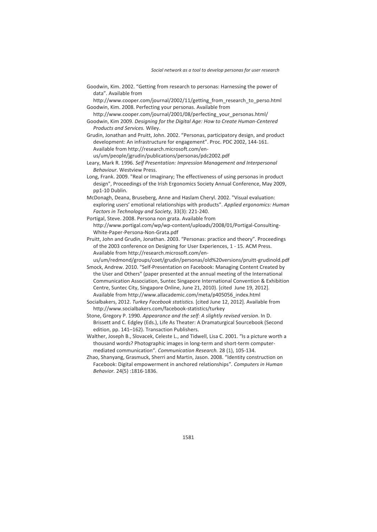Goodwin, Kim. 2002. "Getting from research to personas: Harnessing the power of data". Available from

http://www.cooper.com/journal/2002/11/getting\_from\_research\_to\_perso.html Goodwin, Kim. 2008. Perfecting your personas. Available from

http://www.cooper.com/journal/2001/08/perfecting\_your\_personas.html/

- Goodwin, Kim 2009. *Designing for the Digital Age: How to Create Human-Centered Products and Services.* Wiley.
- Grudin, Jonathan and Pruitt, John. 2002. "Personas, participatory design, and product development: An infrastructure for engagement". Proc. PDC 2002, 144-161. Available from http://research.microsoft.com/en-

us/um/people/jgrudin/publications/personas/pdc2002.pdf

- Leary, Mark R. 1996. *Self Presentation: Impression Management and Interpersonal Behaviour*. Westview Press.
- Long, Frank. 2009. "Real or Imaginary; The effectiveness of using personas in product design", Proceedings of the Irish Ergonomics Society Annual Conference, May 2009, pp1-10 Dublin.
- McDonagh, Deana, Bruseberg, Anne and Haslam Cheryl. 2002. "Visual evaluation: exploring users' emotional relationships with products". *Applied ergonomics: Human Factors in Technology and Society,* 33(3): 221-240.
- Portigal, Steve. 2008. Persona non grata. Available from http://www.portigal.com/wp/wp-content/uploads/2008/01/Portigal-Consulting-White-Paper-Persona-Non-Grata.pdf
- Pruitt, John and Grudin, Jonathan. 2003. "Personas: practice and theory". Proceedings of the 2003 conference on Designing for User Experiences, 1 - 15. ACM Press. Available from http://research.microsoft.com/en-

us/um/redmond/groups/coet/grudin/personas/old%20versions/pruitt-grudinold.pdf

- Smock, Andrew. 2010. "Self-Presentation on Facebook: Managing Content Created by the User and Others" (paper presented at the annual meeting of the International Communication Association, Suntec Singapore International Convention & Exhibition Centre, Suntec City, Singapore Online, June 21, 2010). [cited June 19, 2012]. Available from http://www.allacademic.com/meta/p405056\_index.html
- Socialbakers, 2012. *Turkey Facebook statistics.* [cited June 12, 2012]. Available from http://www.socialbakers.com/facebook-statistics/turkey
- Stone, Gregory P. 1990. *Appearance and the self: A slightly revised version*. In D. Brissett and C. Edgley (Eds.), Life As Theater: A Dramaturgical Sourcebook (Second edition, pp. 141–162). Transaction Publishers.
- Walther, Joseph B., Slovacek, Celeste L., and Tidwell, Lisa C. 2001. "Is a picture worth a thousand words? Photographic images in long-term and short-term computermediated communication". *Communication Research.* 28 (1), 105-134.
- Zhao, Shanyang, Grasmuck, Sherri and Martin, Jason. 2008. "Identity construction on Facebook: Digital empowerment in anchored relationships". *Computers in Human Behavior.* 24(5) :1816-1836.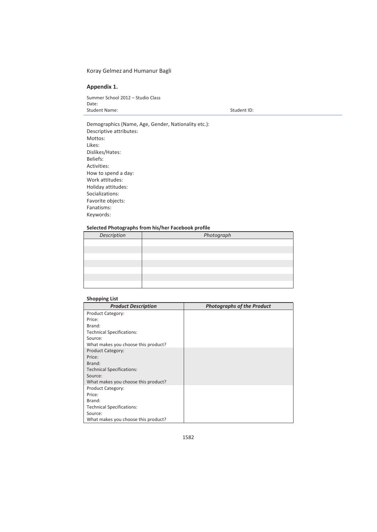### **Appendix 1.**

Summer School 2012 – Studio Class Date: Student Name: Student ID: Student ID: Student ID:

Demographics (Name, Age, Gender, Nationality etc.): Descriptive attributes: Mottos: Likes: Dislikes/Hates: Beliefs: Activities: How to spend a day: Work attitudes: Holiday attitudes: Socializations: Favorite objects: Fanatisms: Keywords:

#### **Selected Photographs from his/her Facebook profile**

| Description | Photograph |
|-------------|------------|
|             |            |
|             |            |
|             |            |
|             |            |
|             |            |
|             |            |
|             |            |

#### **Shopping List**

| <b>Product Description</b>          | <b>Photographs of the Product</b> |
|-------------------------------------|-----------------------------------|
| <b>Product Category:</b>            |                                   |
| Price:                              |                                   |
| Brand:                              |                                   |
| <b>Technical Specifications:</b>    |                                   |
| Source:                             |                                   |
| What makes you choose this product? |                                   |
| <b>Product Category:</b>            |                                   |
| Price:                              |                                   |
| Brand:                              |                                   |
| <b>Technical Specifications:</b>    |                                   |
| Source:                             |                                   |
| What makes you choose this product? |                                   |
| <b>Product Category:</b>            |                                   |
| Price:                              |                                   |
| Brand:                              |                                   |
| <b>Technical Specifications:</b>    |                                   |
| Source:                             |                                   |
| What makes you choose this product? |                                   |